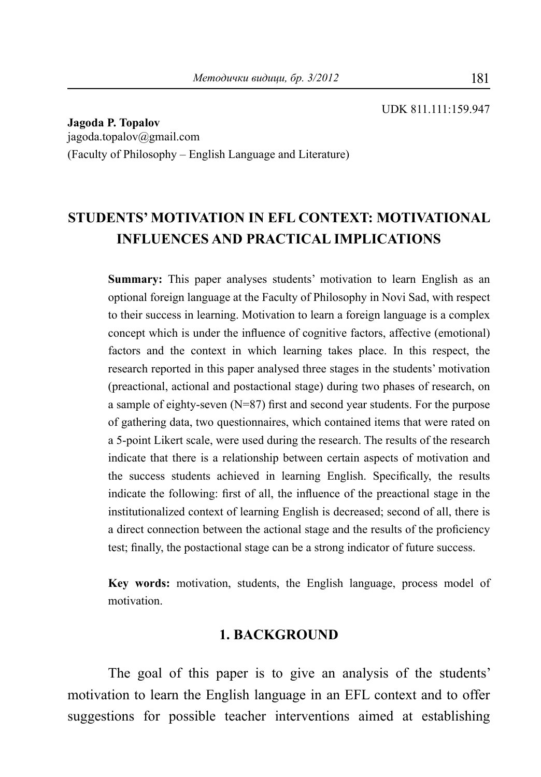**Jagoda P. Topalov** jagoda.topalov@gmail.com (Faculty of Philosophy – English Language and Literature)

# **STUDENTS' MOTIVATION IN EFL CONTEXT: MOTIVATIONAL INFLUENCES AND PRACTICAL IMPLICATIONS**

**Summary:** This paper analyses students' motivation to learn English as an optional foreign language at the Faculty of Philosophy in Novi Sad, with respect to their success in learning. Motivation to learn a foreign language is a complex concept which is under the influence of cognitive factors, affective (emotional) factors and the context in which learning takes place. In this respect, the research reported in this paper analysed three stages in the students' motivation (preactional, actional and postactional stage) during two phases of research, on a sample of eighty-seven (N=87) first and second year students. For the purpose of gathering data, two questionnaires, which contained items that were rated on a 5-point Likert scale, were used during the research. The results of the research indicate that there is a relationship between certain aspects of motivation and the success students achieved in learning English. Specifically, the results indicate the following: first of all, the influence of the preactional stage in the institutionalized context of learning English is decreased; second of all, there is a direct connection between the actional stage and the results of the proficiency test; finally, the postactional stage can be a strong indicator of future success.

**Key words:** motivation, students, the English language, process model of motivation.

### **1. BACKGROUND**

The goal of this paper is to give an analysis of the students' motivation to learn the English language in an EFL context and to offer suggestions for possible teacher interventions aimed at establishing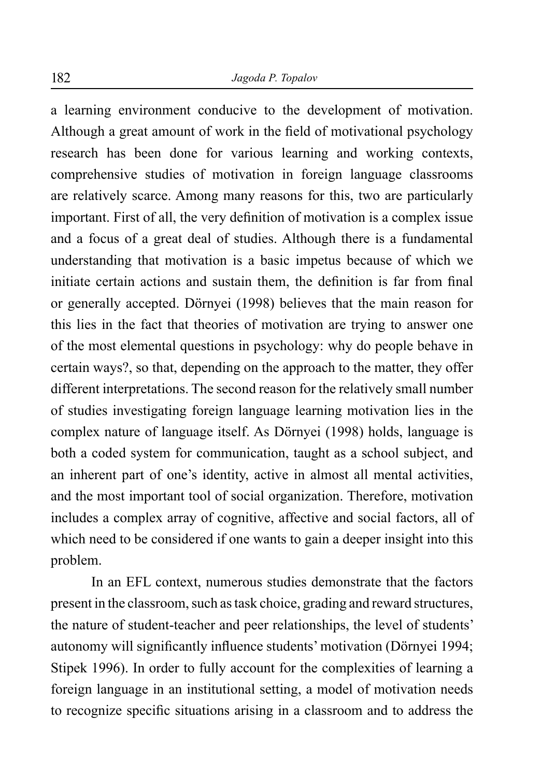a learning environment conducive to the development of motivation. Although a great amount of work in the field of motivational psychology research has been done for various learning and working contexts, comprehensive studies of motivation in foreign language classrooms are relatively scarce. Among many reasons for this, two are particularly important. First of all, the very definition of motivation is a complex issue and a focus of a great deal of studies. Although there is a fundamental understanding that motivation is a basic impetus because of which we initiate certain actions and sustain them, the definition is far from final or generally accepted. Dörnyei (1998) believes that the main reason for this lies in the fact that theories of motivation are trying to answer one of the most elemental questions in psychology: why do people behave in certain ways?, so that, depending on the approach to the matter, they offer different interpretations. The second reason for the relatively small number of studies investigating foreign language learning motivation lies in the complex nature of language itself. As Dörnyei (1998) holds, language is both a coded system for communication, taught as a school subject, and an inherent part of one's identity, active in almost all mental activities, and the most important tool of social organization. Therefore, motivation includes a complex array of cognitive, affective and social factors, all of which need to be considered if one wants to gain a deeper insight into this problem.

In an EFL context, numerous studies demonstrate that the factors present in the classroom, such as task choice, grading and reward structures, the nature of student-teacher and peer relationships, the level of students' autonomy will significantly influence students' motivation (Dörnyei 1994; Stipek 1996). In order to fully account for the complexities of learning a foreign language in an institutional setting, a model of motivation needs to recognize specific situations arising in a classroom and to address the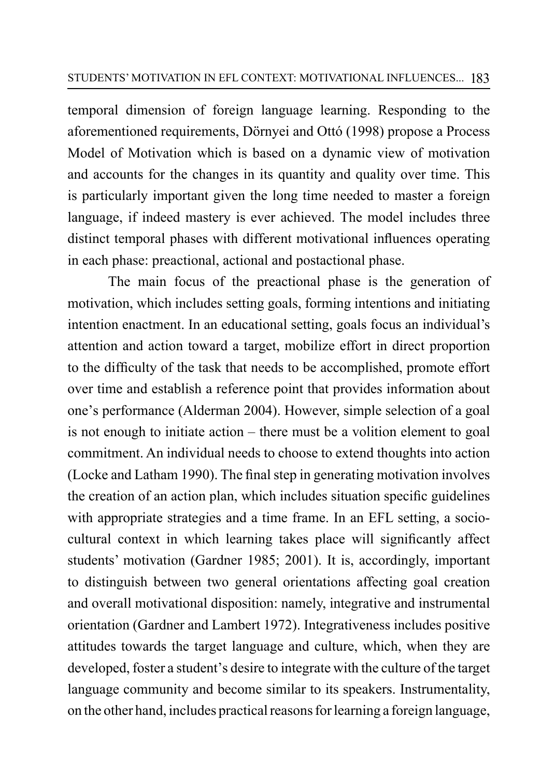temporal dimension of foreign language learning. Responding to the aforementioned requirements, Dörnyei and Ottó (1998) propose a Process Model of Motivation which is based on a dynamic view of motivation and accounts for the changes in its quantity and quality over time. This is particularly important given the long time needed to master a foreign language, if indeed mastery is ever achieved. The model includes three distinct temporal phases with different motivational influences operating in each phase: preactional, actional and postactional phase.

The main focus of the preactional phase is the generation of motivation, which includes setting goals, forming intentions and initiating intention enactment. In an educational setting, goals focus an individual's attention and action toward a target, mobilize effort in direct proportion to the difficulty of the task that needs to be accomplished, promote effort over time and establish a reference point that provides information about one's performance (Alderman 2004). However, simple selection of a goal is not enough to initiate action – there must be a volition element to goal commitment. An individual needs to choose to extend thoughts into action (Locke and Latham 1990). The final step in generating motivation involves the creation of an action plan, which includes situation specific guidelines with appropriate strategies and a time frame. In an EFL setting, a sociocultural context in which learning takes place will significantly affect students' motivation (Gardner 1985; 2001). It is, accordingly, important to distinguish between two general orientations affecting goal creation and overall motivational disposition: namely, integrative and instrumental orientation (Gardner and Lambert 1972). Integrativeness includes positive attitudes towards the target language and culture, which, when they are developed, foster a student's desire to integrate with the culture of the target language community and become similar to its speakers. Instrumentality, on the other hand, includes practical reasons for learning a foreign language,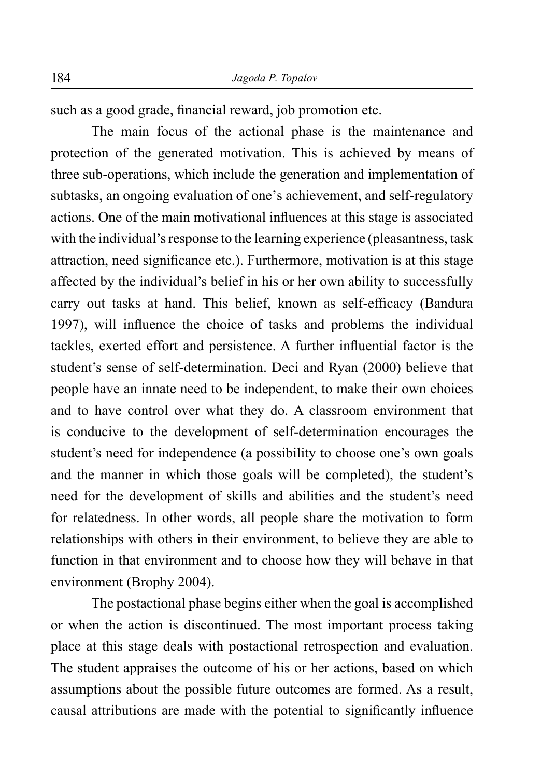such as a good grade, financial reward, job promotion etc.

The main focus of the actional phase is the maintenance and protection of the generated motivation. This is achieved by means of three sub-operations, which include the generation and implementation of subtasks, an ongoing evaluation of one's achievement, and self-regulatory actions. One of the main motivational influences at this stage is associated with the individual's response to the learning experience (pleasantness, task attraction, need significance etc.). Furthermore, motivation is at this stage affected by the individual's belief in his or her own ability to successfully carry out tasks at hand. This belief, known as self-efficacy (Bandura 1997), will influence the choice of tasks and problems the individual tackles, exerted effort and persistence. A further influential factor is the student's sense of self-determination. Deci and Ryan (2000) believe that people have an innate need to be independent, to make their own choices and to have control over what they do. A classroom environment that is conducive to the development of self-determination encourages the student's need for independence (a possibility to choose one's own goals and the manner in which those goals will be completed), the student's need for the development of skills and abilities and the student's need for relatedness. In other words, all people share the motivation to form relationships with others in their environment, to believe they are able to function in that environment and to choose how they will behave in that environment (Brophy 2004).

The postactional phase begins either when the goal is accomplished or when the action is discontinued. The most important process taking place at this stage deals with postactional retrospection and evaluation. The student appraises the outcome of his or her actions, based on which assumptions about the possible future outcomes are formed. As a result, causal attributions are made with the potential to significantly influence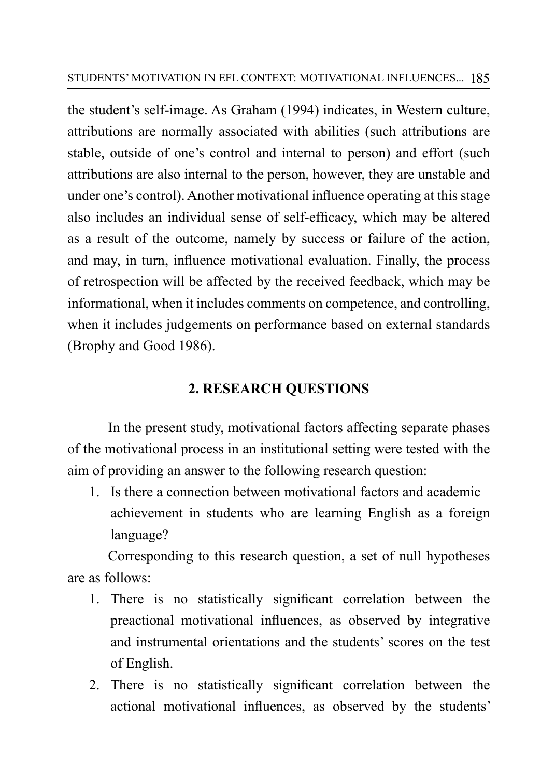the student's self-image. As Graham (1994) indicates, in Western culture, attributions are normally associated with abilities (such attributions are stable, outside of one's control and internal to person) and effort (such attributions are also internal to the person, however, they are unstable and under one's control). Another motivational influence operating at this stage also includes an individual sense of self-efficacy, which may be altered as a result of the outcome, namely by success or failure of the action, and may, in turn, influence motivational evaluation. Finally, the process of retrospection will be affected by the received feedback, which may be informational, when it includes comments on competence, and controlling, when it includes judgements on performance based on external standards (Brophy and Good 1986).

# **2. RESEARCH QUESTIONS**

In the present study, motivational factors affecting separate phases of the motivational process in an institutional setting were tested with the aim of providing an answer to the following research question:

1. Is there a connection between motivational factors and academic achievement in students who are learning English as a foreign language?

Corresponding to this research question, a set of null hypotheses are as follows:

- 1. There is no statistically significant correlation between the preactional motivational influences, as observed by integrative and instrumental orientations and the students' scores on the test of English.
- 2. There is no statistically significant correlation between the actional motivational influences, as observed by the students'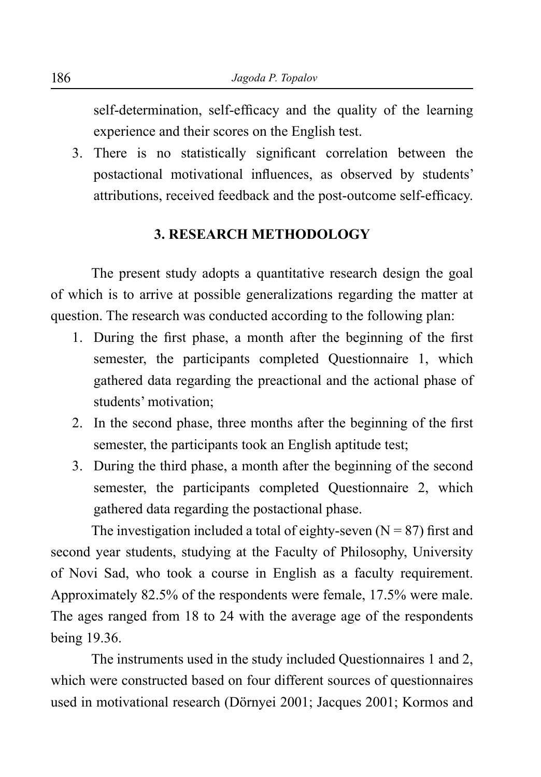self-determination, self-efficacy and the quality of the learning experience and their scores on the English test.

3. There is no statistically significant correlation between the postactional motivational influences, as observed by students' attributions, received feedback and the post-outcome self-efficacy.

### **3. RESEARCH METHODOLOGY**

The present study adopts a quantitative research design the goal of which is to arrive at possible generalizations regarding the matter at question. The research was conducted according to the following plan:

- 1. During the first phase, a month after the beginning of the first semester, the participants completed Questionnaire 1, which gathered data regarding the preactional and the actional phase of students' motivation;
- 2. In the second phase, three months after the beginning of the first semester, the participants took an English aptitude test;
- 3. During the third phase, a month after the beginning of the second semester, the participants completed Questionnaire 2, which gathered data regarding the postactional phase.

The investigation included a total of eighty-seven  $(N = 87)$  first and second year students, studying at the Faculty of Philosophy, University of Novi Sad, who took a course in English as a faculty requirement. Approximately 82.5% of the respondents were female, 17.5% were male. The ages ranged from 18 to 24 with the average age of the respondents being 19.36.

The instruments used in the study included Questionnaires 1 and 2, which were constructed based on four different sources of questionnaires used in motivational research (Dörnyei 2001; Jacques 2001; Kormos and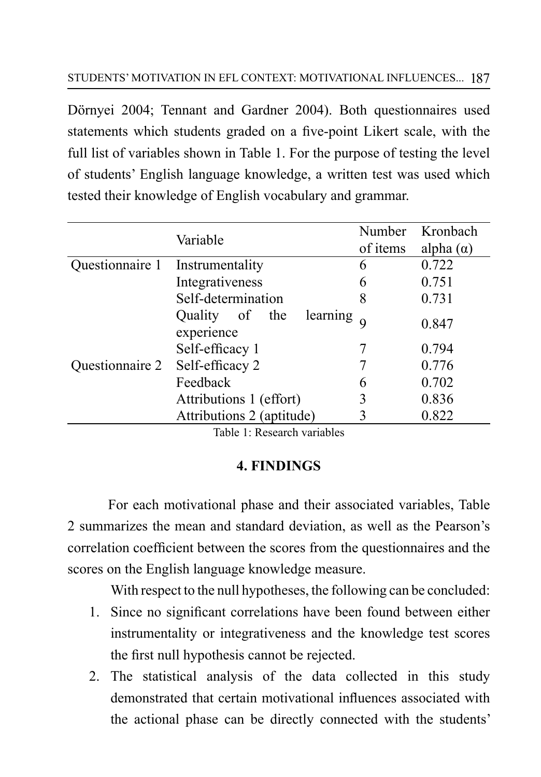Dörnyei 2004; Tennant and Gardner 2004). Both questionnaires used statements which students graded on a five-point Likert scale, with the full list of variables shown in Table 1. For the purpose of testing the level of students' English language knowledge, a written test was used which tested their knowledge of English vocabulary and grammar.

|                    | Variable                                 | Number   | Kronbach         |
|--------------------|------------------------------------------|----------|------------------|
|                    |                                          | of items | alpha $(\alpha)$ |
| Questionnaire 1    | Instrumentality                          | 6        | 0.722            |
|                    | Integrativeness                          | 6        | 0.751            |
| Self-determination |                                          | 8        | 0.731            |
| Questionnaire 2    | learning<br>Quality of the<br>experience |          | 0.847            |
|                    | Self-efficacy 1                          |          | 0.794            |
|                    | Self-efficacy 2                          |          | 0.776            |
|                    | Feedback                                 | 6        | 0.702            |
|                    | Attributions 1 (effort)                  | 3        | 0.836            |
|                    | Attributions 2 (aptitude)                | 3        | 0.822            |

Table 1: Research variables

# **4. FINDINGS**

For each motivational phase and their associated variables, Table 2 summarizes the mean and standard deviation, as well as the Pearson's correlation coefficient between the scores from the questionnaires and the scores on the English language knowledge measure.

With respect to the null hypotheses, the following can be concluded:

- 1. Since no significant correlations have been found between either instrumentality or integrativeness and the knowledge test scores the first null hypothesis cannot be rejected.
- 2. The statistical analysis of the data collected in this study demonstrated that certain motivational influences associated with the actional phase can be directly connected with the students'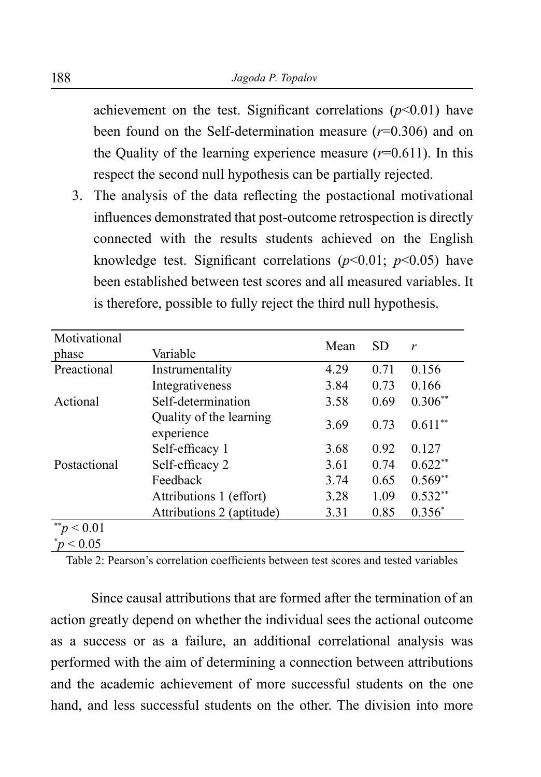achievement on the test. Significant correlations  $(p<0.01)$  have been found on the Self-determination measure (*r*=0.306) and on the Quality of the learning experience measure  $(r=0.611)$ . In this respect the second null hypothesis can be partially rejected.

3. The analysis of the data reflecting the postactional motivational influences demonstrated that post-outcome retrospection is directly connected with the results students achieved on the English knowledge test. Significant correlations  $(p<0.01; p<0.05)$  have been established between test scores and all measured variables. It is therefore, possible to fully reject the third null hypothesis.

| Motivational |                                       |                                   |      |           |
|--------------|---------------------------------------|-----------------------------------|------|-----------|
| phase        | Variable                              | Mean<br><b>SD</b><br>$\mathbf{r}$ |      |           |
| Preactional  | Instrumentality                       | 4.29                              | 0.71 | 0.156     |
|              | Integrativeness                       | 3.84                              | 0.73 | 0.166     |
| Actional     | Self-determination                    | 3.58                              | 0.69 | $0.306**$ |
| Postactional | Quality of the learning<br>experience | 3.69                              | 0.73 | $0.611**$ |
|              | Self-efficacy 1                       | 3.68                              | 0.92 | 0.127     |
|              | Self-efficacy 2                       | 3.61                              | 0.74 | $0.622**$ |
|              | Feedback                              | 3.74                              | 0.65 | $0.569**$ |
|              | Attributions 1 (effort)               | 3.28                              | 1.09 | $0.532**$ |
|              | Attributions 2 (aptitude)             | 3.31                              | 0.85 | $0.356*$  |
| ${}_{0.01}$  |                                       |                                   |      |           |
| p < 0.05     |                                       |                                   |      |           |

Table 2: Pearson's correlation coefficients between test scores and tested variables

Since causal attributions that are formed after the termination of an action greatly depend on whether the individual sees the actional outcome as a success or as a failure, an additional correlational analysis was performed with the aim of determining a connection between attributions and the academic achievement of more successful students on the one hand, and less successful students on the other. The division into more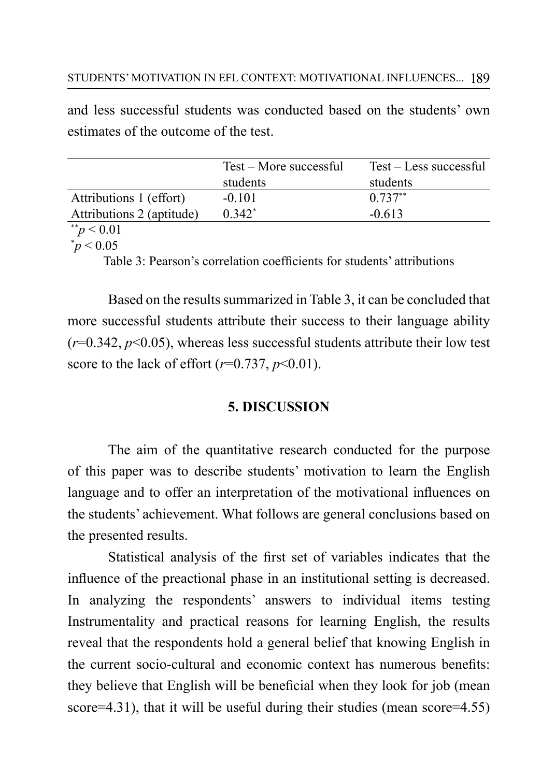and less successful students was conducted based on the students' own estimates of the outcome of the test.

|                           | Test – More successful | Test – Less successful |
|---------------------------|------------------------|------------------------|
|                           | students               | students               |
| Attributions 1 (effort)   | $-0.101$               | $0.737**$              |
| Attributions 2 (aptitude) | $0.342*$               | $-0.613$               |
| **<br>$\sim$ 0.01         |                        |                        |

 $\gamma p < 0.01$  $\degree p \le 0.05$ 

Table 3: Pearson's correlation coefficients for students' attributions

Based on the results summarized in Table 3, it can be concluded that more successful students attribute their success to their language ability  $(r=0.342, p<0.05)$ , whereas less successful students attribute their low test score to the lack of effort  $(r=0.737, p<0.01)$ .

## **5. DISCUSSION**

The aim of the quantitative research conducted for the purpose of this paper was to describe students' motivation to learn the English language and to offer an interpretation of the motivational influences on the students' achievement. What follows are general conclusions based on the presented results.

Statistical analysis of the first set of variables indicates that the influence of the preactional phase in an institutional setting is decreased. In analyzing the respondents' answers to individual items testing Instrumentality and practical reasons for learning English, the results reveal that the respondents hold a general belief that knowing English in the current socio-cultural and economic context has numerous benefits: they believe that English will be beneficial when they look for job (mean score=4.31), that it will be useful during their studies (mean score=4.55)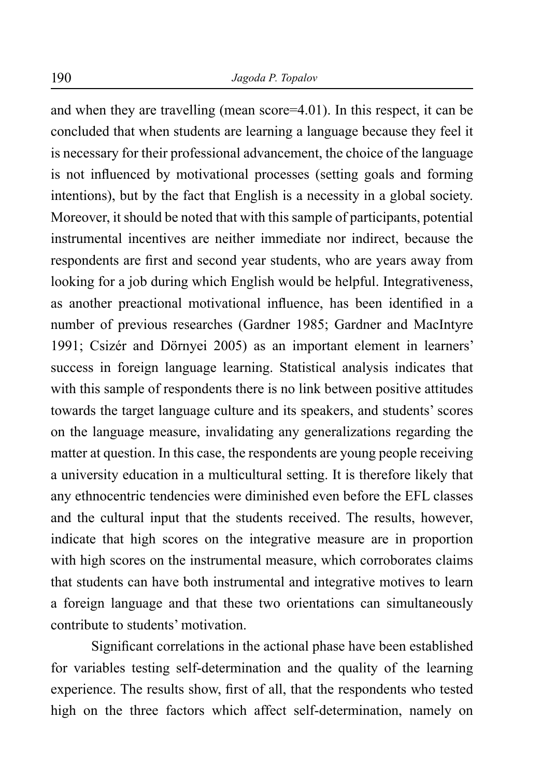and when they are travelling (mean score=4.01). In this respect, it can be concluded that when students are learning a language because they feel it is necessary for their professional advancement, the choice of the language is not influenced by motivational processes (setting goals and forming intentions), but by the fact that English is a necessity in a global society. Moreover, it should be noted that with this sample of participants, potential instrumental incentives are neither immediate nor indirect, because the respondents are first and second year students, who are years away from looking for a job during which English would be helpful. Integrativeness, as another preactional motivational influence, has been identified in a number of previous researches (Gardner 1985; Gardner and MacIntyre 1991; Csizér and Dörnyei 2005) as an important element in learners' success in foreign language learning. Statistical analysis indicates that with this sample of respondents there is no link between positive attitudes towards the target language culture and its speakers, and students' scores on the language measure, invalidating any generalizations regarding the matter at question. In this case, the respondents are young people receiving a university education in a multicultural setting. It is therefore likely that any ethnocentric tendencies were diminished even before the EFL classes and the cultural input that the students received. The results, however, indicate that high scores on the integrative measure are in proportion with high scores on the instrumental measure, which corroborates claims that students can have both instrumental and integrative motives to learn a foreign language and that these two orientations can simultaneously contribute to students' motivation.

Significant correlations in the actional phase have been established for variables testing self-determination and the quality of the learning experience. The results show, first of all, that the respondents who tested high on the three factors which affect self-determination, namely on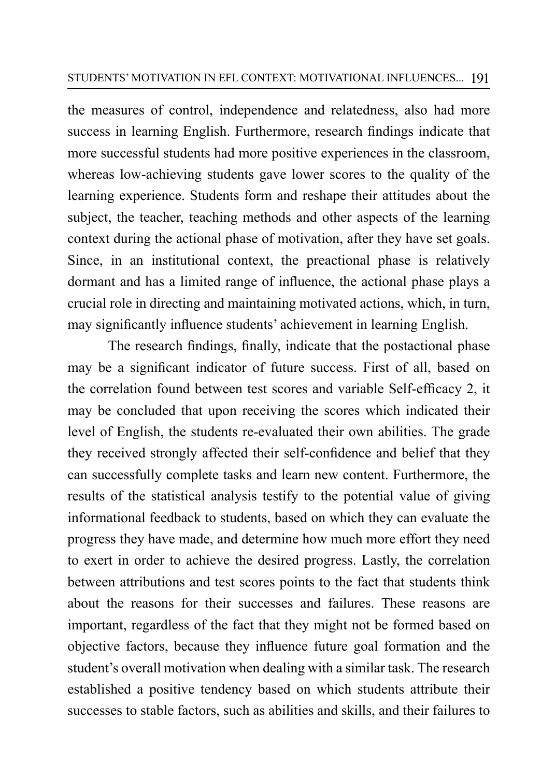the measures of control, independence and relatedness, also had more success in learning English. Furthermore, research findings indicate that more successful students had more positive experiences in the classroom, whereas low-achieving students gave lower scores to the quality of the learning experience. Students form and reshape their attitudes about the subject, the teacher, teaching methods and other aspects of the learning context during the actional phase of motivation, after they have set goals. Since, in an institutional context, the preactional phase is relatively dormant and has a limited range of influence, the actional phase plays a crucial role in directing and maintaining motivated actions, which, in turn, may significantly influence students' achievement in learning English.

The research findings, finally, indicate that the postactional phase may be a significant indicator of future success. First of all, based on the correlation found between test scores and variable Self-efficacy 2, it may be concluded that upon receiving the scores which indicated their level of English, the students re-evaluated their own abilities. The grade they received strongly affected their self-confidence and belief that they can successfully complete tasks and learn new content. Furthermore, the results of the statistical analysis testify to the potential value of giving informational feedback to students, based on which they can evaluate the progress they have made, and determine how much more effort they need to exert in order to achieve the desired progress. Lastly, the correlation between attributions and test scores points to the fact that students think about the reasons for their successes and failures. These reasons are important, regardless of the fact that they might not be formed based on objective factors, because they influence future goal formation and the student's overall motivation when dealing with a similar task. The research established a positive tendency based on which students attribute their successes to stable factors, such as abilities and skills, and their failures to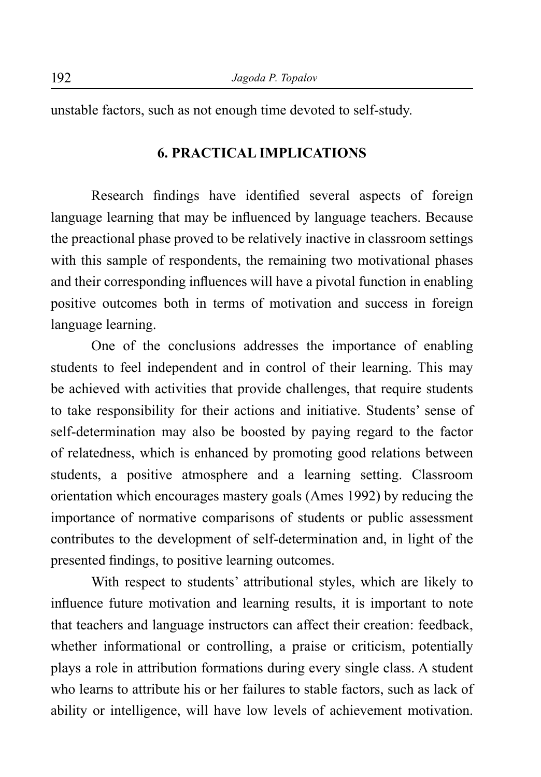unstable factors, such as not enough time devoted to self-study.

## **6. PRACTICAL IMPLICATIONS**

Research findings have identified several aspects of foreign language learning that may be influenced by language teachers. Because the preactional phase proved to be relatively inactive in classroom settings with this sample of respondents, the remaining two motivational phases and their corresponding influences will have a pivotal function in enabling positive outcomes both in terms of motivation and success in foreign language learning.

One of the conclusions addresses the importance of enabling students to feel independent and in control of their learning. This may be achieved with activities that provide challenges, that require students to take responsibility for their actions and initiative. Students' sense of self-determination may also be boosted by paying regard to the factor of relatedness, which is enhanced by promoting good relations between students, a positive atmosphere and a learning setting. Classroom orientation which encourages mastery goals (Ames 1992) by reducing the importance of normative comparisons of students or public assessment contributes to the development of self-determination and, in light of the presented findings, to positive learning outcomes.

With respect to students' attributional styles, which are likely to influence future motivation and learning results, it is important to note that teachers and language instructors can affect their creation: feedback, whether informational or controlling, a praise or criticism, potentially plays a role in attribution formations during every single class. A student who learns to attribute his or her failures to stable factors, such as lack of ability or intelligence, will have low levels of achievement motivation.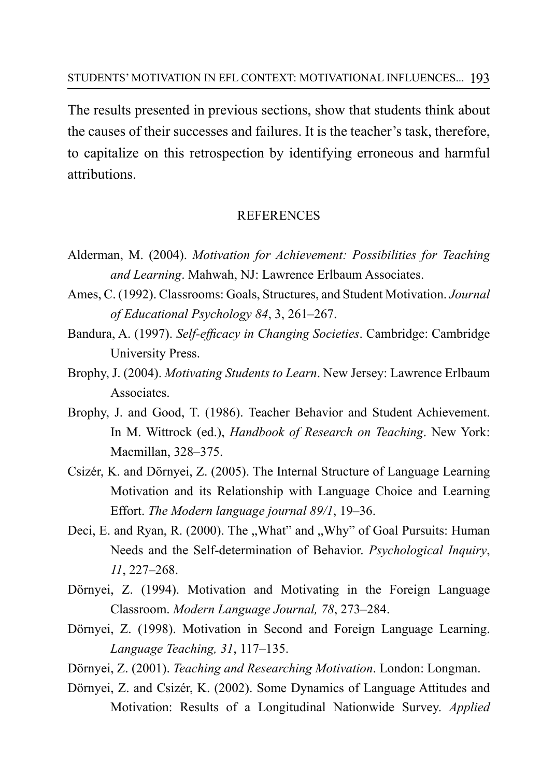The results presented in previous sections, show that students think about the causes of their successes and failures. It is the teacher's task, therefore, to capitalize on this retrospection by identifying erroneous and harmful attributions.

### REFERENCES

- Alderman, M. (2004). *Motivation for Achievement: Possibilities for Teaching and Learning*. Mahwah, NJ: Lawrence Erlbaum Associates.
- Ames, C. (1992). Classrooms: Goals, Structures, and Student Motivation. *Journal of Educational Psychology 84*, 3, 261–267.
- Bandura, A. (1997). *Self-efficacy in Changing Societies*. Cambridge: Cambridge University Press.
- Brophy, J. (2004). *Motivating Students to Learn*. New Jersey: Lawrence Erlbaum Associates.
- Brophy, J. and Good, T. (1986). Teacher Behavior and Student Achievement. In M. Wittrock (ed.), *Handbook of Research on Teaching*. New York: Macmillan, 328–375.
- Csizér, K. and Dörnyei, Z. (2005). The Internal Structure of Language Learning Motivation and its Relationship with Language Choice and Learning Effort. *The Modern language journal 89/1*, 19–36.
- Deci, E. and Ryan, R. (2000). The "What" and "Why" of Goal Pursuits: Human Needs and the Self-determination of Behavior. *Psychological Inquiry*, *11*, 227–268.
- Dörnyei, Z. (1994). Motivation and Motivating in the Foreign Language Classroom. *Modern Language Journal, 78*, 273–284.
- Dörnyei, Z. (1998). Motivation in Second and Foreign Language Learning. *Language Teaching, 31*, 117–135.
- Dörnyei, Z. (2001). *Teaching and Researching Motivation*. London: Longman.
- Dörnyei, Z. and Csizér, K. (2002). Some Dynamics of Language Attitudes and Motivation: Results of a Longitudinal Nationwide Survey. *Applied*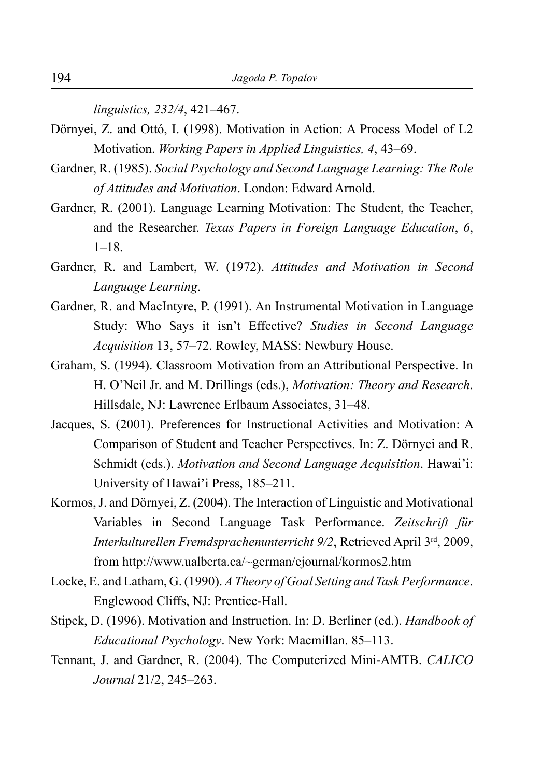*linguistics, 232/4*, 421–467.

- Dörnyei, Z. and Ottó, I. (1998). Motivation in Action: A Process Model of L2 Motivation. *Working Papers in Applied Linguistics, 4*, 43–69.
- Gardner, R. (1985). *Social Psychology and Second Language Learning: The Role of Attitudes and Motivation*. London: Edward Arnold.
- Gardner, R. (2001). Language Learning Motivation: The Student, the Teacher, and the Researcher. *Texas Papers in Foreign Language Education*, *6*, 1–18.
- Gardner, R. and Lambert, W. (1972). *Attitudes and Motivation in Second Language Learning*.
- Gardner, R. and MacIntyre, P. (1991). An Instrumental Motivation in Language Study: Who Says it isn't Effective? *Studies in Second Language Acquisition* 13, 57–72. Rowley, MASS: Newbury House.
- Graham, S. (1994). Classroom Motivation from an Attributional Perspective. In H. O'Neil Jr. and M. Drillings (eds.), *Motivation: Theory and Research*. Hillsdale, NJ: Lawrence Erlbaum Associates, 31–48.
- Jacques, S. (2001). Preferences for Instructional Activities and Motivation: A Comparison of Student and Teacher Perspectives. In: Z. Dörnyei and R. Schmidt (eds.). *Motivation and Second Language Acquisition*. Hawai'i: University of Hawai'i Press, 185–211.
- Kormos, J. and Dörnyei, Z. (2004). The Interaction of Linguistic and Motivational Variables in Second Language Task Performance. *Zeitschrift für Interkulturellen Fremdsprachenunterricht 9/2*, Retrieved April 3rd, 2009, from http://www.ualberta.ca/~german/ejournal/kormos2.htm
- Locke, E. and Latham, G. (1990). *A Theory of Goal Setting and Task Performance*. Englewood Cliffs, NJ: Prentice-Hall.
- Stipek, D. (1996). Motivation and Instruction. In: D. Berliner (ed.). *Handbook of Educational Psychology*. New York: Macmillan. 85–113.
- Tennant, J. and Gardner, R. (2004). The Computerized Mini-AMTB. *CALICO Journal* 21/2, 245–263.